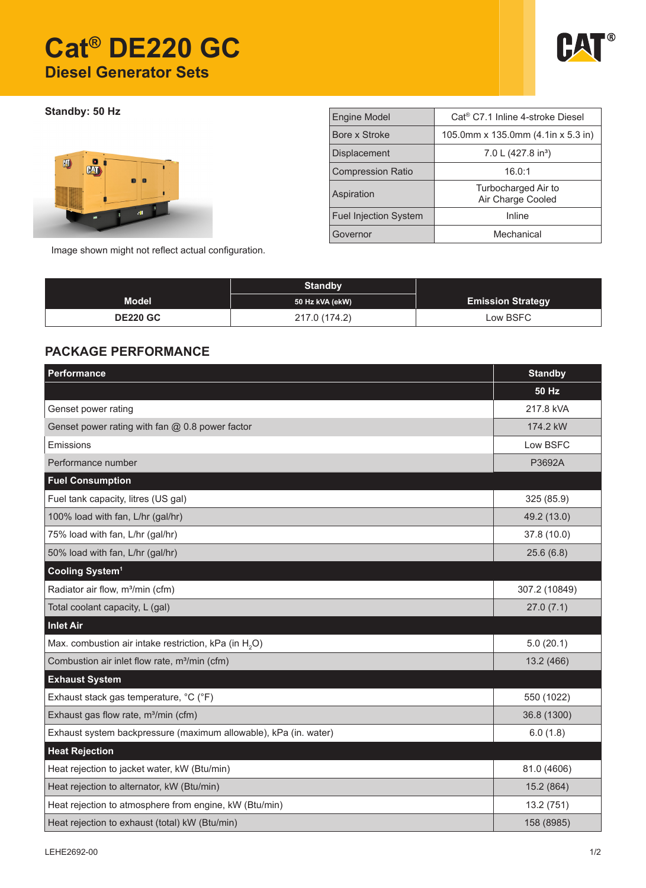# **Cat® DE220 GC Diesel Generator Sets**



**Standby: 50 Hz**



| <b>Engine Model</b>          | Cat <sup>®</sup> C7.1 Inline 4-stroke Diesel |  |  |
|------------------------------|----------------------------------------------|--|--|
| Bore x Stroke                | 105.0mm x 135.0mm $(4.1$ in x 5.3 in)        |  |  |
| <b>Displacement</b>          | 7.0 L (427.8 in <sup>3</sup> )               |  |  |
| <b>Compression Ratio</b>     | 16.0:1                                       |  |  |
| Aspiration                   | Turbocharged Air to<br>Air Charge Cooled     |  |  |
| <b>Fuel Injection System</b> | Inline                                       |  |  |
| Governor                     | Mechanical                                   |  |  |

Image shown might not reflect actual configuration.

|                 | <b>Standby</b>  |                          |
|-----------------|-----------------|--------------------------|
| <b>Model</b>    | 50 Hz kVA (ekW) | <b>Emission Strategy</b> |
| <b>DE220 GC</b> | 217.0 (174.2)   | Low BSFC                 |

### **PACKAGE PERFORMANCE**

| <b>Performance</b>                                                | <b>Standby</b> |
|-------------------------------------------------------------------|----------------|
|                                                                   | <b>50 Hz</b>   |
| Genset power rating                                               | 217.8 kVA      |
| Genset power rating with fan @ 0.8 power factor                   | 174.2 kW       |
| Emissions                                                         | Low BSFC       |
| Performance number                                                | P3692A         |
| <b>Fuel Consumption</b>                                           |                |
| Fuel tank capacity, litres (US gal)                               | 325 (85.9)     |
| 100% load with fan, L/hr (gal/hr)                                 | 49.2 (13.0)    |
| 75% load with fan, L/hr (gal/hr)                                  | 37.8 (10.0)    |
| 50% load with fan, L/hr (gal/hr)                                  | 25.6(6.8)      |
| Cooling System <sup>1</sup>                                       |                |
| Radiator air flow, m <sup>3</sup> /min (cfm)                      | 307.2 (10849)  |
| Total coolant capacity, L (gal)                                   | 27.0(7.1)      |
| <b>Inlet Air</b>                                                  |                |
| Max. combustion air intake restriction, kPa (in H <sub>2</sub> O) | 5.0(20.1)      |
| Combustion air inlet flow rate, m <sup>3</sup> /min (cfm)         | 13.2 (466)     |
| <b>Exhaust System</b>                                             |                |
| Exhaust stack gas temperature, °C (°F)                            | 550 (1022)     |
| Exhaust gas flow rate, m <sup>3</sup> /min (cfm)                  | 36.8 (1300)    |
| Exhaust system backpressure (maximum allowable), kPa (in. water)  | 6.0(1.8)       |
| <b>Heat Rejection</b>                                             |                |
| Heat rejection to jacket water, kW (Btu/min)                      | 81.0 (4606)    |
| Heat rejection to alternator, kW (Btu/min)                        | 15.2 (864)     |
| Heat rejection to atmosphere from engine, kW (Btu/min)            | 13.2 (751)     |
| Heat rejection to exhaust (total) kW (Btu/min)                    | 158 (8985)     |